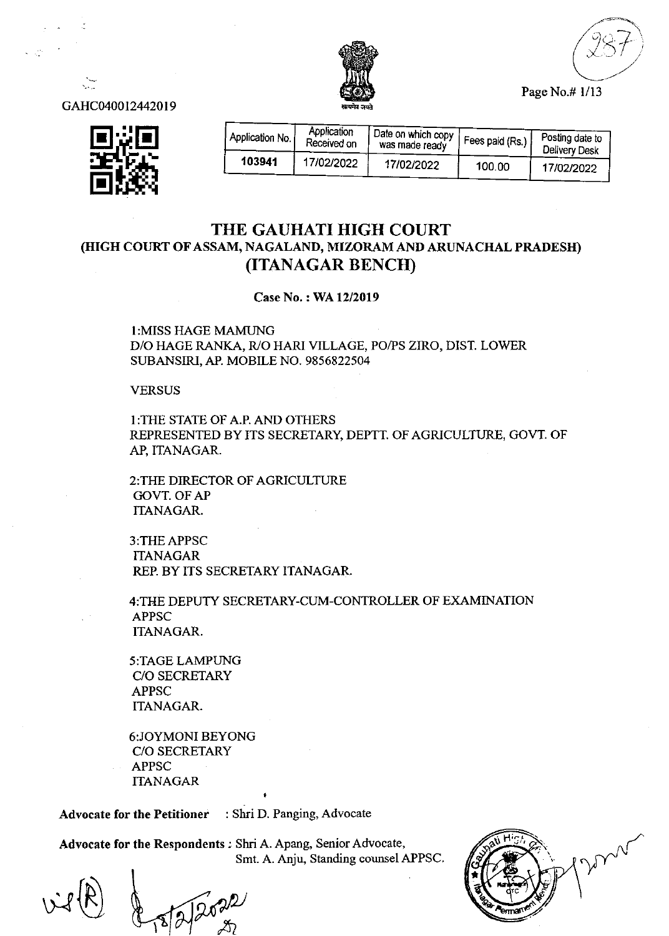

Page No.# l/13



GAHC040012442019

| Application No. | Application<br>Received on | (Date on which copy <sup>1</sup> )<br>was made ready | Fees paid (Rs.) | Posting date to<br>Delivery Desk |
|-----------------|----------------------------|------------------------------------------------------|-----------------|----------------------------------|
| 103941          | 17/02/2022                 | 17/02/2022                                           | 100.00          | 17/02/2022                       |

### THE GAUHATI HIGH COURT (HIGH COURT OF ASSAM, NAGALAND, MIZORAM AND ARUNACHAL PRADESH) (ITANAGAR BENCII)

Case No.: WA 12/2019

I:MISS HAGE MAMUNG D/O HAGE RANKA, R/O HARI VILLAGE, PO/PS ZIRO, DIST. LOWER SUBANSIRI, AP. MOBILE NO. 9856822504

**VERSUS** 

I:THE STATE OF A.P. AND OTHERS REPRESENTED BY ITS SECRETARY, DEPTT. OF AGRICULTURE, GOVT. OF AP, ITANAGAR.

2:THE DIRECTOR OF AGRICULTURE GOVT. OF AP ITANAGAR.

3:THEAPPSC **ITANAGAR** REP. BY ITS SECRETARY ITANAGAR.

4:TliE DEPUTY SECRETARY-CUM-CONTROLLER OF EXAMINATION APPSC ITANAGAR.

5:TAGE LAMPIING C/O SECRETARY APPSC ITANAGAR.

6:JOYMONIBEYONG C/O SECRETARY APPSC ITANAGAR

Advocate for the Petitioner : Shri D. Panging, Advocate

Advocate for the Respondents ; Shri A. Apang, Senior Advocate, Smt. A. Anju, Standing counsel APPSC

well dropport I

t H'9,', nl  $\gamma$ Y

l<br>V  $28f$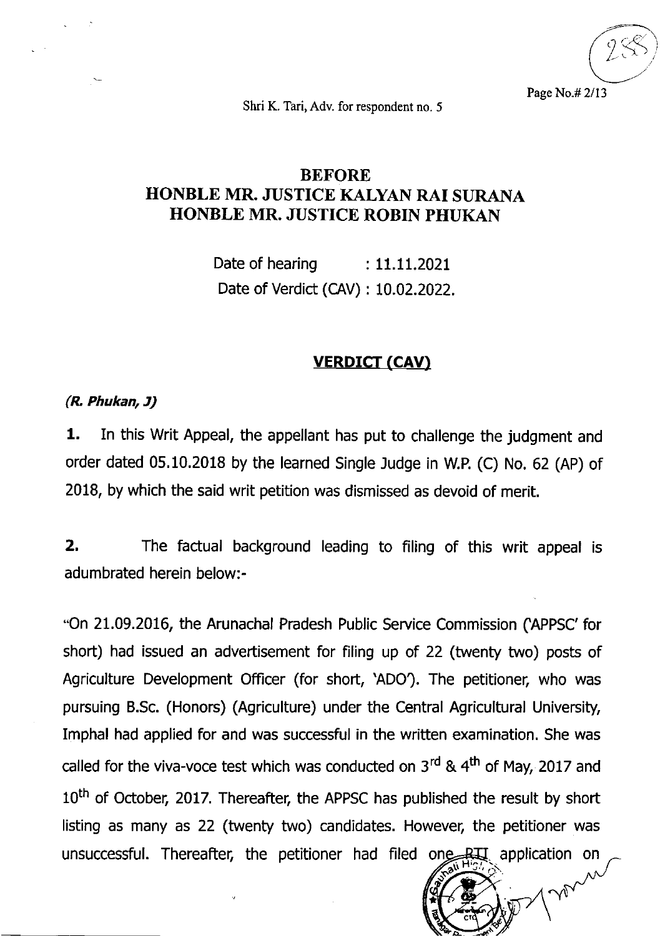t-  $\zeta^{\hat{\zeta}}$  $\sum_{i=1}^{\infty}$ 

Page No.# 2/13

Shri K. Tari, Adv. for respondent no. 5

# BEFORE HONBLE MR. JUSTICE KALYAN RAI SURANA HONBLE MR. JUSTICE ROBIN PHUKAN

Date of hearing  $\qquad$ : 11.11.2021 Date of Verdict (CAV): 10.02.2022.

## **VERDICT (CAV)**

#### (R Phukan, J)

1. In this Writ Appeal, the appellant has put to challenge the judgment and order dated  $05.10.2018$  by the learned Single Judge in W.P. (C) No. 62 (AP) of 2018, by which the said writ petition was dismissed as devoid of merit.

2. The factual background leading to filing of this writ appeal is adumbrated herein below:-

-On 21.09.2016, the Arunachal Pradesh Public Seruice Commission (APPSC'for short) had issued an advertisement for filing up of 22 (twenty two) posts of Agriculture Development Officer (for short, 'ADO). The petitioner, who was pursuing B.Sc. (Honors) (Agriculture) under the Central Agricultural University, Imphal had applied for and was successful in the written examination. She was called for the viva-voce test which was conducted on  $3<sup>rd</sup>$  & 4<sup>th</sup> of May, 2017 and 10<sup>th</sup> of October, 2017. Thereafter, the APPSC has published the result by short listing as many as 22 (twenty two) candidates. However, the petitioner was unsuccessful. Thereafter, the petitioner had filed one  $R\overrightarrow{AB}$  application on  $\overrightarrow{AB}$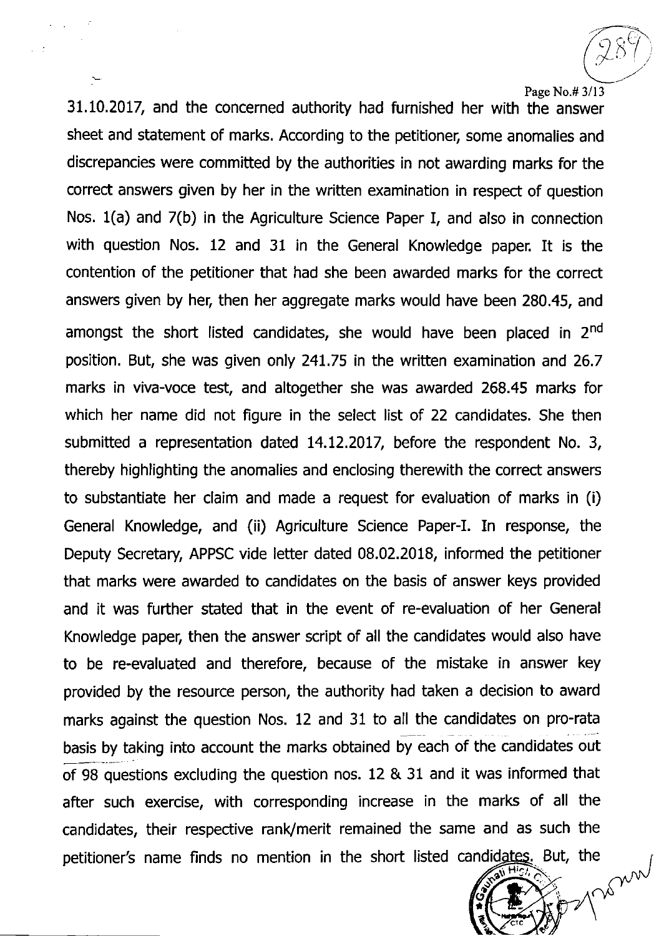#### Page No.# 3/13

 $\zeta$  $\bigcirc$ 

31.10.20t7, and the concerned authority had furnished her with the answer sheet and statement of marks. According to the petitioner, some anomalies and discrepancies were committed by the authorities in not awarding marks for the correct answers given by her in the written examination in respect of question Nos. 1(a) and 7(b) in the Agriculture Science Paper I, and also in connection with question Nos. 12 and 31 in the General Knowledge paper. It is the contention of the petitioner that had she been awarded marks for the correct answers given by her, then her aggregate marks would have been 280.45, and amongst the short listed candidates, she would have been placed in  $2<sup>nd</sup>$ position. But, she was given only 241.75 in the written examination and 26.7 marks in viva-voce test, and altogether she was awarded 268.45 marks for which her name did not figure in the select list of 22 candidates. She then submitted a representation dated 14.12.2017, before the respondent No. 3, thereby highlighting the anomalies and enclosing therewith the correct answers to substantiate her claim and made a request for evaluation of marks in (i) General Knowledge, and (ii) Agriculture Science Paper-I. In response, the Deputy Secretary, APPSC vide letter dated 08.02.2018, informed the petitioner that marks were awarded to candidates on the basis of answer keys provided and it was further stated that in the event of re-evaluation of her General Knowledge paper, then the answer script of all the candidates would also have to be re-evaluated and therefore, because of the mistake in answer key provided by the resource person, the authority had taken a decision to award marks against the question Nos. 12 and 31 to all the candidates on pro-rata basis by taking into account the marks obtained by each of the candidates out of 98 questions excluding the question nos. 12 & 31 and it was informed that after such exercise, with corresponding increase in the marks of all the candidates, their respective rank/merit remained the same and as such the petitioner's name finds no mention in the short listed candidates. But, the i. H

t

 $\mathcal{C}$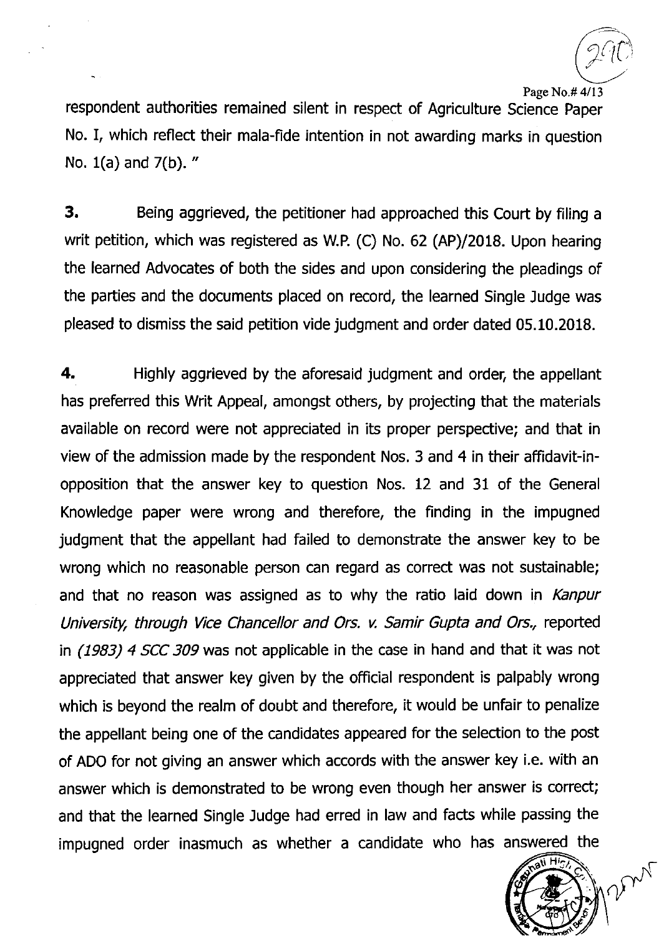$\mathcal{C}$ 

Page No.# 4/13

respondent authorities remained silent in respect of Agriculture Science Paper No. I, which reflect their mala-fide intention in not awarding marks in question No. 1(a) and 7(b). "

3. Being aggrieved, the petitioner had approached this Court by filing <sup>a</sup> writ petition, which was registered as W.P. (C) No. 62 (AP)/2018. Upon hearing the learned Advocates of both the sides and upon considering the pleadings of the parties and the documents placed on record, the learned Single Judge was pleased to dismiss the said petition vide judgment and order dated 05.10.2018.

**4.** Highly aggrieved by the aforesaid judgment and order, the appellant has preferred this Writ Appeal, amongst others, by projecting that the materials available on record were not appreciated in its proper perspective; and that in view of the admission made by the respondent Nos. 3 and 4 in their affidavit-inopposition that the answer key to question Nos. 12 and 31 of the General Knowledge paper were wrong and therefore, the finding in the impugned judgment that the appellant had failed to demonstrate the answer key to be wrong which no reasonable person can regard as correct was not sustainable; and that no reason was assigned as to why the ratio laid down in *Kanpur* University, through Wce Chancellor and Ors. v. Samir Gupta and Ors., reported in (1983) 4 SCC 309 was not applicable in the case in hand and that it was not appreciated that answer key given by the official respondent is palpably wrong which is beyond the realm of doubt and therefore, it would be unfair to penalize the appellant being one of the candidates appeared for the selection to the post of ADO for not giving an answer which accords with the answer key i.e. with an answer which is demonstrated to be wrong even though her answer is correct; and that the learned Single Judge had erred in law and facts while passing the impugned order inasmuch as whether a candidate who has answered the

man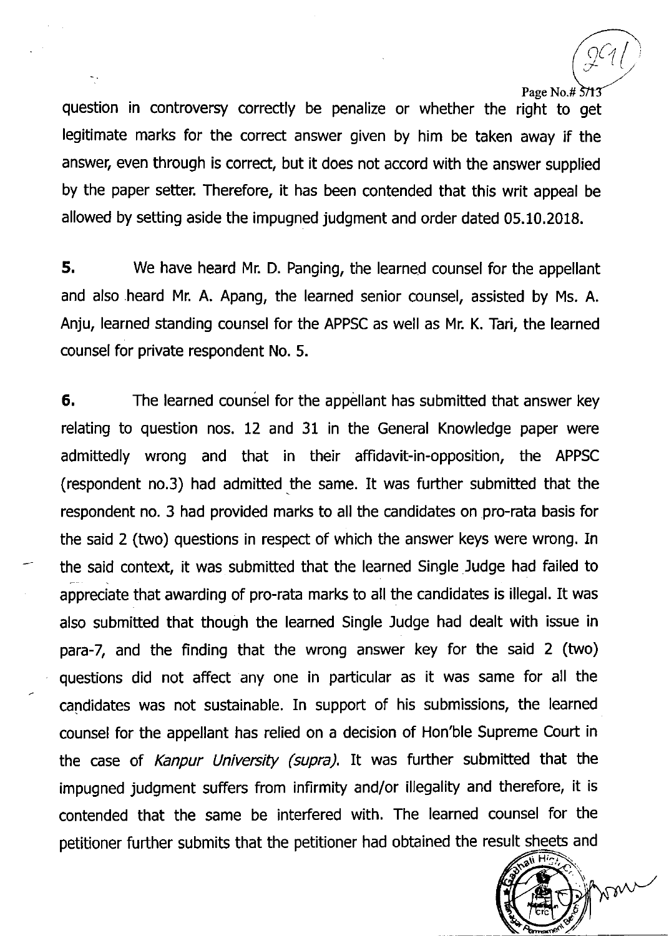#### Page No.# 3/13

u Hra

man

 $C_{\ell}/$ 

question in controversy correctly be penalize or whether the right to get legitimate marks for the correct answer given by him be taken away if the answer, even through is correct, but it does not accord with the answer supplied by the paper setter. Therefore, it has been contended that this writ appeal be allowed by setting aside the impugned judgment and order dated 05.10,2018.

5. We have heard Mr. D. Panging, the learned counsel for the appellant and also heard Mr. A. Apang, the learned senior counsel, assisted by Ms. A. Anju, learned standing counsel for the APPSC as well as Mr. K. Tari, the learned counsel for private respondent No. 5.

6. The learned counsel for the appellant has submitted that answer key relating to question nos. 12 and 31 in the General Knowledge paper were admittedly wrong and that in their affidavit-in-opposition, the APPSC (respondent no.3) had admitted the same. It was further submitted that the respondent no. 3 had provided marks to all the candidates on pro-rata basis for the said 2 (two) questions in respect of which the answer keys were wrong. In the said context, it was submitted that the learned Single Judge had failed to appreciate that awarding of pro-rata marks to all the candidates is illegal. It was also submitted that though the learned Single Judge had dealt with issue in para-7, and the finding that the wrong answer key for the said 2 (two) questions did not affect any one in particular as it was same for all the candidates was not sustainable. In support of his submissions, the learned counsel for the appellant has relied on a decision of Hon'ble Supreme Court in the case of Kanpur University (supra). It was further submitted that the impugned judgment suffers from infirmity and/or illegality and therefore, it is contended that the same be interfered with. The learned counsel for the petitioner further submits that the petitioner had obtained the result sheets and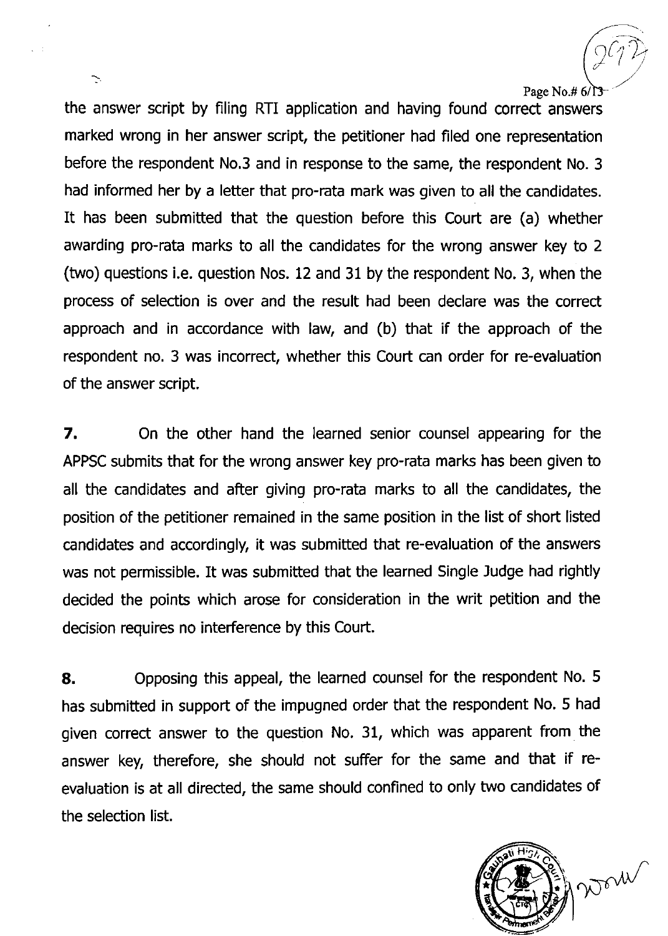Page No.# $6/$ 3

 $\widehat{C_1D_1}$ 

 $\overline{Q}$ 

the answer script by filing RTI application and having found correct answers marked wrong in her answer script, the petitioner had filed one representation before the respondent No.3 and in response to the same, the respondent No. 3 had informed her by a letter that pro-rata mark was given to all the candidates. It has been submitted that the question before this Court are (a) whether awarding pro-rata marks to all the candidates for the wrong answer key to 2 (two) questions i.e. question Nos. 12 and 31 by the respondent No. 3, when the process of selection is over and the result had been declare was the correct approach and in accordance with law, and (b) that if the approach of the respondent no. 3 was incorrect, whether this Court can order for re-evaluation of the answer script.

7, On the other hand the learned senior counsel appearing for the APPSC submits that for the wrong answer key pro-rata marks has been given to all the candidates and after giving pro-rata marks to all the candidates, the position of the petitioner remained in the same position in the list of short listed candidates and accordingly, it was submitted that re-evaluation of the answers was not permissible. It was submitted that the learned Single Judge had rightly decided the points which arose for consideration in the writ petition and the decision reguires no interference by this Court.

8. Opposing this appeal, the learned counsel for the respondent No. 5 has submitted in support of the impugned order that the respondent No. 5 had given correct answer to the question No. 31, which was apparent from the answer key, therefore, she should not suffer for the same and that if reevaluation is at all directed, the same should confined to only two candidates of the selection list.



 $\sum$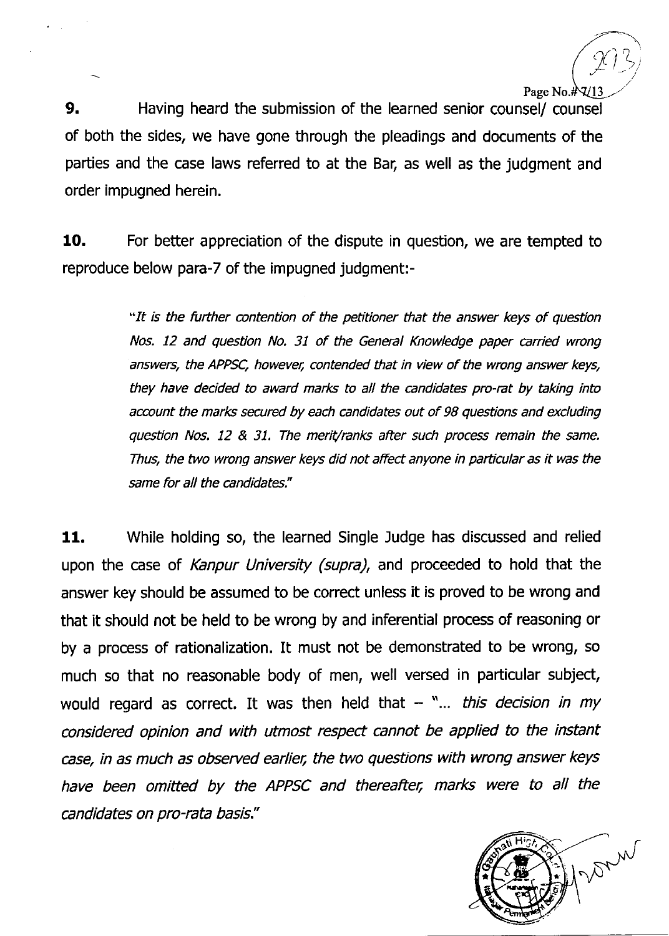$\hat{C}$ 

 $\frac{1}{2}$ j

Page No.  $\#$  $\mathcal{U}$ . Having heard the submission of the learned senior counsel/ counsel of both the sides, we have gone through the pleadings and documents of the parties and the case laws referred to at the Bar, as well as the judgment and order impugned herein.

**10.** For better appreciation of the dispute in question, we are tempted to reproduce below para-7 of the impugned judgment:-

> "It is the further ontention of the petitioner that the answer keys of question Nos. 12 and question No. 31 of the General Knowledge paper carried wrong answers, the APPSC, howevet; contended that in view of the wrong answer keys, they have decided to award marks to all the candidates pro-rat by taking into account the marks secured by each candidates out of 98 questions and excluding question Nos. 12 & 31. The merit/ranks after such process remain the same. Thus, the two wrong answer keys did not affed anyone in particular as it was the same for all the candidates."

11. While holding so, the learned Single Judge has discussed and relied upon the case of Kanpur University (supra), and proceeded to hold that the answer key should be assumed to be correct unless it is proved to be wrong and that it should not be held to be wrong by and inferential process of reasoning or by a process of rationalization. It must not be demonstrated to be wrong, so much so that no reasonable body of men, well versed in particular subject, would regard as correct. It was then held that  $-$  "... this decision in my onsidered opinion and with utmost respect cannot be applied to the instant case, in as much as observed earlier, the two questions with wrong answer keys have been omitted by the APPSC and thereafter, marks were to all the candidates on pro-rata basis."

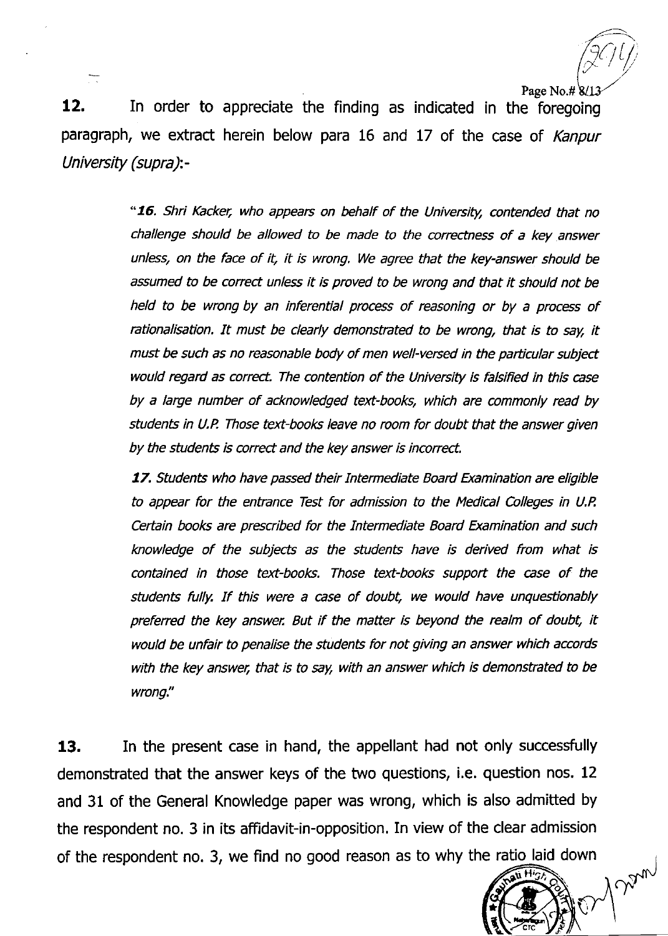$\bigl(\! \! \bigl/\! \bigr)$ 

**Chym** 

 $\frac{12.}{12}$  In order to appreciate the finding as indicated in the foregoing paragraph, we extract herein below para 16 and 17 of the case of Kanpur University (supra)-

> "16. Shri Kacker, who appears on behalf of the University, contended that no challenge should be allowed to be made to the corectness of a key answer unless, on the face of it, it is wrong. We agree that the key-answer should be assumed to be correct unless it is proved to be wrong and that it should not be held to be wrong by an inferential process of reasoning or by a process of rationalisation. It must be clearly demonstrated to be wrong, that is to say, it must be such as no reasonable body of men well-versed in the particular subject would regard as correct. The contention of the University is falsified in this case by a large number of acknowledged text-books, which are commonly read by students in U.P. Those text-books leave no room for doubt that the answer given by the students is correct and the key answer is incorrect.

> 17. Students who have passed their Intermediate Board Examination are eligible to appear for the entrance Test for admission to the Medical Colleges in U.P, Certain books are prescribed for the Intermediate Board Examination and such knowledge of the subjects as the students have is derived from what is contained in those text-books. Those text-books support the case of the students fully. If this were a case of doubt, we would have unquestionably preferred the key answer. But if the matter is beyond the realm of doubt, it would be unfair to penalise the students for not giving an answer which accords with the key answer, that is to say, with an answer which is demonstrated to be wrong."

**13.** In the present case in hand, the appellant had not only successfully demonstrated that the answer keys of the two questions, i.e. question nos. 12 and 31 of the General Knowledge paper was wrong, which is also admitted by the respondent no. 3 in its affidavit-in-opposition. In view of the clear admission of the respondent no. 3, we find no good reason as to why the ratio laid down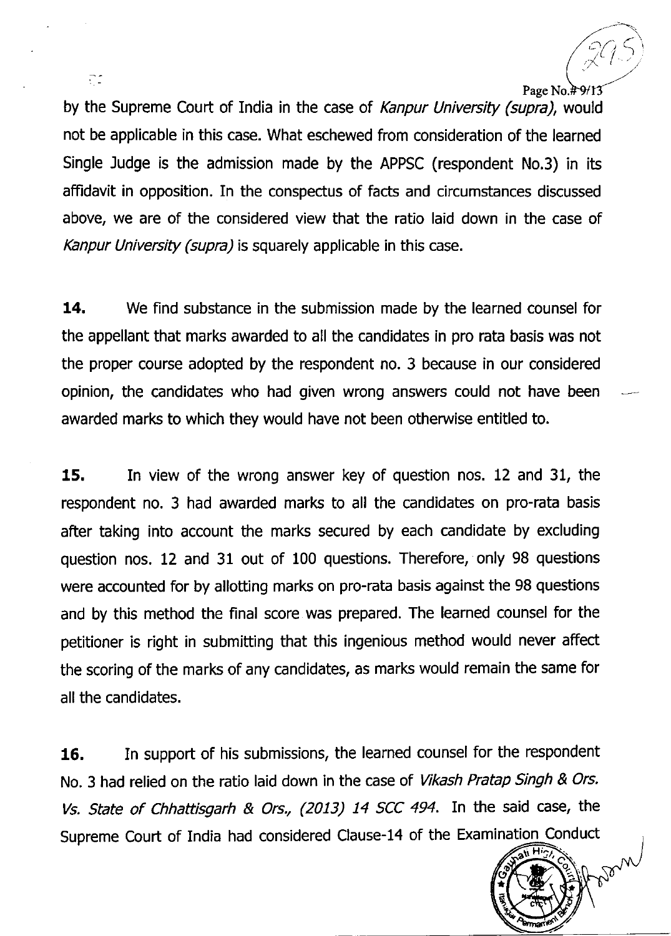by the Supreme Court of India in the case of Kanpur University (supra), would not be applicable in this case. What eschewed from consideration of the learned Single Judge is the admission made by the APPSC (respondent No.3) in its affidavit in opposition. In the conspectus of facts and circumstances discussed above, we are of the considered view that the ratio laid down in the case of Kanpur University (supra) is squarely applicable in this case.

**14.** We find substance in the submission made by the learned counsel for the appellant that marks awarded to all the candidates in pro rata basis was not the proper course adopted by the respondent no. 3 because in our considered opinion, the candidates who had given wrong answers could not have been awarded marks to which they would have not been otherwise entitled to.

15. In view of the wrong answer key of question nos. 12 and 31, the respondent no. 3 had awarded marks to all the candidates on pro-rata basis after taking into account the marks secured by each candidate by excluding question nos. 12 and 31 out of 100 questions. Therefore, only 98 questions were accounted for by allotting marks on pro-rata basis against the 98 questions and by this method the final score was prepared. The learned counsel for the petitioner is right in submitting that this ingenious method would never affect the scoring of the marks of any candidates, as marks would remain the same for all the candidates.

16. In support of his submissions, the learned counsel for the respondent No. 3 had relied on the ratio laid down in the case of Vikash Pratap Singh & Ors. Vs. State of Chhattisgarh & Ors., (2013) 14 SCC 494. In the said case, the Supreme Court of India had considered Clause-14 of the Examination Conduct  $\sqrt{\frac{36. \text{H/g}}{36. \text{H/g}}}$ 



 $\tilde{\times}^{\mathcal{U}}$ 

Page No. $#9/12$ 

 $\mathcal{L}$ .l

Ωf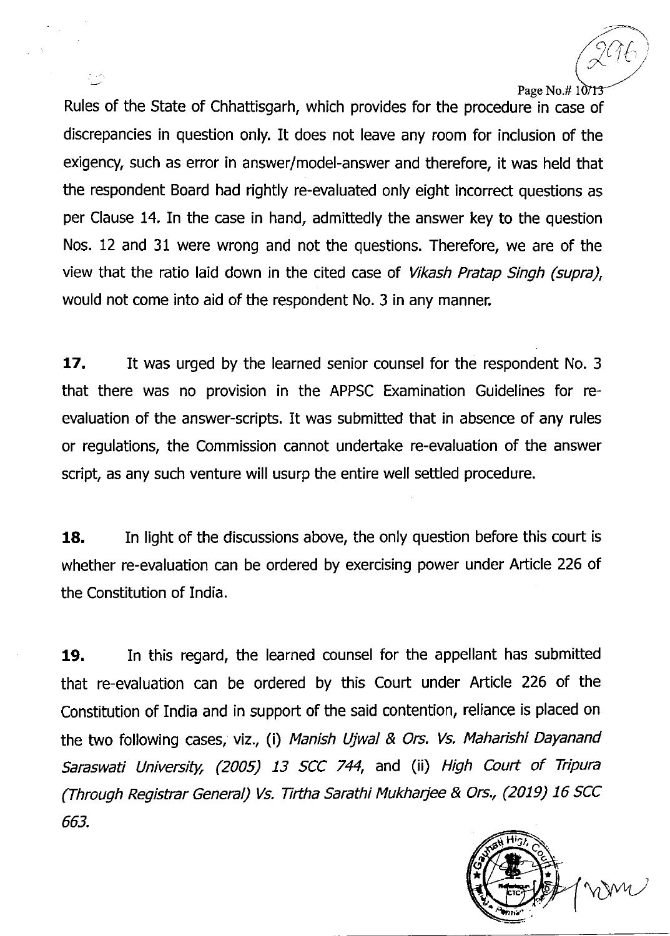Rules of the State of Chhattisgarh, which provides for the procedure in case of discrepancies in question only. It does not leave any room for inclusion of the exigency, such as error in answer/model-answer and therefore, it was held that the respondent Board had rightly re-evaluated only eight incorrect questions as per Clause 14. In the case in hand, admittedly the answer key to the question Nos. 12 and 31 were wrong and not the questions. Therefore, we are of the view that the ratio laid down in the cited case of *Vikash Pratap Singh (supra)*, would not come into aid of the respondent No. 3 in any manner.

17. It was urged by the learned senior counsel for the respondent No. 3 that there was no provision in the APPSC Examination Guidelines for reevaluation of the answer-scripts. It was submitted that in absence of any rules or regulations, the Commission cannot undeftake re-evaluation of the answer script, as any such venture will usurp the entire well settled procedure.

18. In light of the discussions above, the only question before this court is whether re-evaluation can be ordered by exercising power under Article 226 of the Constitution of India.

19. In this regard, the learned counsel for the appellant has submitted that re-evaluation can be ordered by this Court under Article 226 of the Constitution of India and in support of the said contention, reliance is placed on the two following cases, viz., (i) Manish Ujwal & Ors. Vs. Maharishi Dayanand Saraswati University, (2005) 13 SCC 744, and (ii) High Court of Tripura (Through Registrar General) Vs. Tirtha Sarathi Mukharjee & Ors., (2019) 16 SCC 663.



 $\cancel{2}$ Ub

Page No.# 10713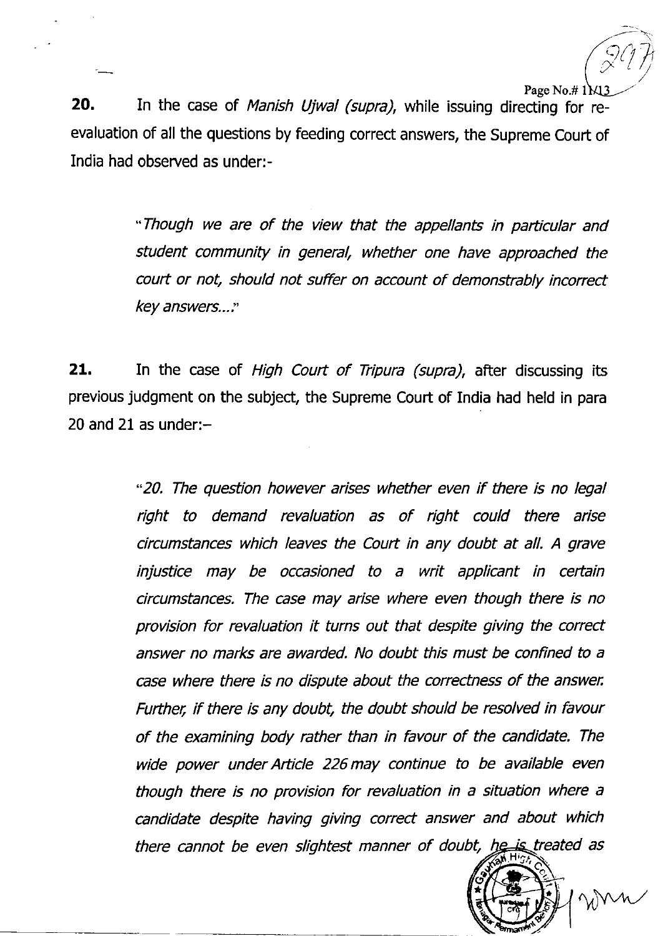$\widehat{\varsigma}$  $\sum_{i=1}^{n}$  $\widehat{(\overline{z})}$ Page No.# 1<sub>M</sub>

20. In the case of Manish Ujwal (supra), while issuing directing for reevaluation of all the questions by feeding correct answers, the Supreme Court of India had observed as under:-

> \*Though we are of the view that the appellants in particular and student community in general, whether one have approached the court or not, should not suffer on account of demonstrably incorrect key answers...:

21. In the case of High Court of Tripura (supra), after discussing its previous judgment on the subject, the Supreme Court of India had held in para 20 and 21 as under: $-$ 

> \*20. The question however arises whether even if there is no legal right to demand revaluation as of right could there arise circumstances which leaves the Court in any doubt at all. A grave injustice may be occasioned to a writ applicant in certain circumstances. The case may arise where even though there is no provision for revaluation it turns out that despite giving the correct answer no marks are awarded. No doubt this must be confined to a case where there is no dispute about the correctness of the answer, Further, if there is any doubt, the doubt should be resolved in favour of the examining body rather than in favour of the candidate. The wide power under Article 226 may continue to be available even though there is no provision for revaluation in a situation where a candidate despite having giving correct answer and about which there cannot be even slightest manner of doubt, he is treated as

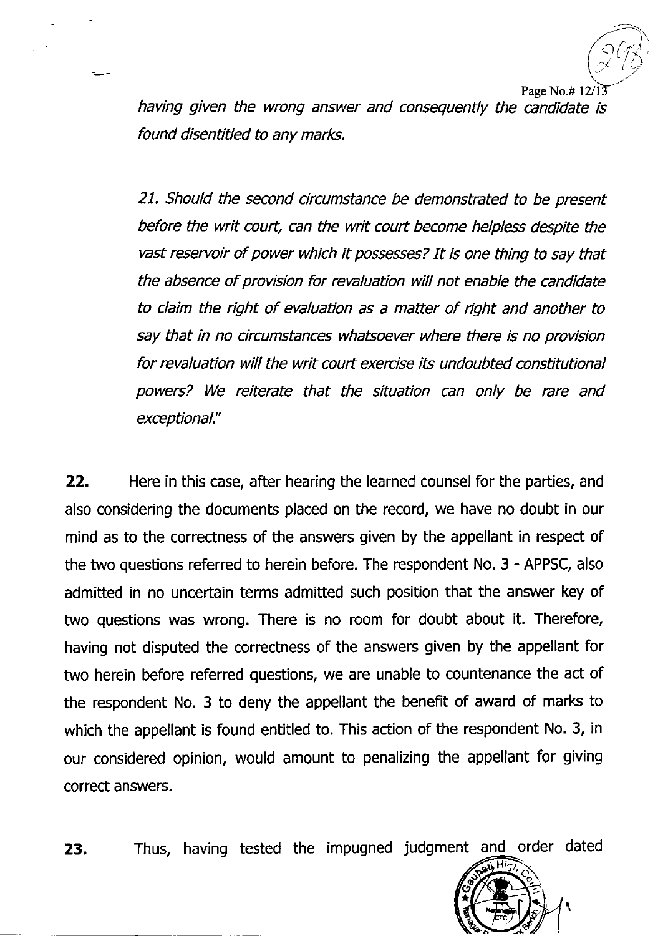l / )

Page No.# $12$ /13

having given the wrong answer and conseguently the candidate is found disentitled to any marks.

21. Should the second circumstance be demonstrated to be present before the writ court, can the writ court become helpless despite the vast reseruoir of power which it possesses? It is one thing to say that the absence of provision for revaluation will not enable the candidate to claim the right of evaluation as a matter of right and another to say that in no circumstances whatsoever where there is no provision for revaluation will the writ court exercise its undoubted constitutional powers? We reiterate that the situation can only be rare and exceptional."

22. Here in this case, after hearing the learned counsel for the parties, and also considering the documents placed on the record, we have no doubt in our mind as to the correctness of the answers given by the appellant in respect of the two questions referred to herein before. The respondent No. 3 - APPSC, also admitted in no uncertain terms admitted such position that the answer key of two questions was wrong. There is no room for doubt about it. Therefore, having not disputed the correctness of the answers given by the appellant for two herein before referred questions, we are unable to countenance the act of the respondent No. 3 to deny the appellant the benefit of award of marks to which the appellant is found entitled to. This action of the respondent No. 3, in our considered opinion, would amount to penalizing the appellant for giving correct answers.

23. Thus, having tested the impugned judgment and order dated